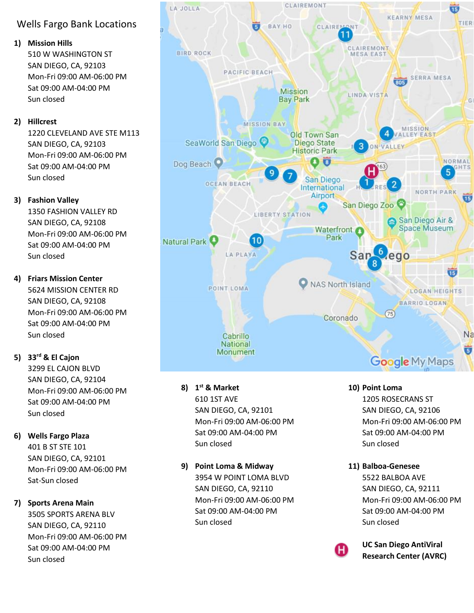# Wells Fargo Bank Locations

#### **1) Mission Hills**

510 W WASHINGTON ST SAN DIEGO, CA, 92103 Mon-Fri 09:00 AM-06:00 PM Sat 09:00 AM-04:00 PM Sun closed

## **2) Hillcrest**

1220 CLEVELAND AVE STE M113 SAN DIEGO, CA, 92103 Mon-Fri 09:00 AM-06:00 PM Sat 09:00 AM-04:00 PM Sun closed

## **3) Fashion Valley**

1350 FASHION VALLEY RD SAN DIEGO, CA, 92108 Mon-Fri 09:00 AM-06:00 PM Sat 09:00 AM-04:00 PM Sun closed

## **4) Friars Mission Center**

5624 MISSION CENTER RD SAN DIEGO, CA, 92108 Mon-Fri 09:00 AM-06:00 PM Sat 09:00 AM-04:00 PM Sun closed

# **5) 33rd & El Cajon**

3299 EL CAJON BLVD SAN DIEGO, CA, 92104 Mon-Fri 09:00 AM-06:00 PM Sat 09:00 AM-04:00 PM Sun closed

## **6) Wells Fargo Plaza**

401 B ST STE 101 SAN DIEGO, CA, 92101 Mon-Fri 09:00 AM-06:00 PM Sat-Sun closed

## **7) Sports Arena Main**

3505 SPORTS ARENA BLV SAN DIEGO, CA, 92110 Mon-Fri 09:00 AM-06:00 PM Sat 09:00 AM-04:00 PM Sun closed



#### **8) 1 st & Market** 610 1ST AVE SAN DIEGO, CA, 92101 Mon-Fri 09:00 AM-06:00 PM Sat 09:00 AM-04:00 PM Sun closed

**9) Point Loma & Midway** 3954 W POINT LOMA BLVD SAN DIEGO, CA, 92110 Mon-Fri 09:00 AM-06:00 PM Sat 09:00 AM-04:00 PM Sun closed

# **10) Point Loma**

1205 ROSECRANS ST SAN DIEGO, CA, 92106 Mon-Fri 09:00 AM-06:00 PM Sat 09:00 AM-04:00 PM Sun closed

#### **11) Balboa-Genesee**

5522 BALBOA AVE SAN DIEGO, CA, 92111 Mon-Fri 09:00 AM-06:00 PM Sat 09:00 AM-04:00 PM Sun closed



**UC San Diego AntiViral Research Center (AVRC)**